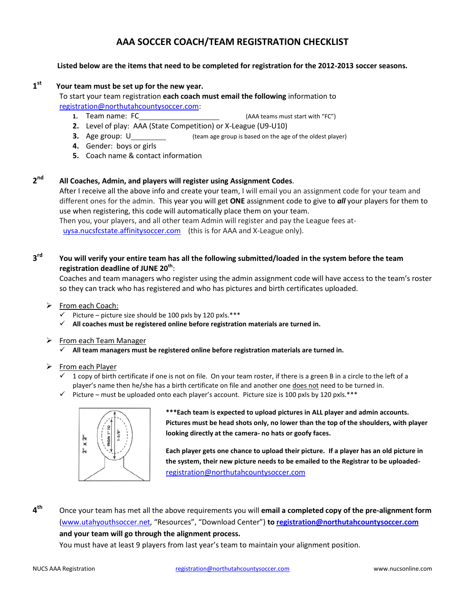# **AAA SOCCER COACH/TEAM REGISTRATION CHECKLIST**

#### **Listed below are the items that need to be completed for registration for the 2012-2013 soccer seasons.**

# **1st Your team must be set up for the new year.**

To start your team registration **each coach must email the following** information to registration@northutahcountysoccer.com:

- **1.** Team name: FC **1.** Team name: FC **1.** Teams must start with "FC")
- **2.** Level of play: AAA (State Competition) or X-League (U9-U10)
- **3.** Age group: U (team age group is based on the age of the oldest player)
- **4.** Gender: boys or girls
- **5.** Coach name & contact information

# **2nd All Coaches, Admin, and players will register using Assignment Codes**.

After I receive all the above info and create your team, I will email you an assignment code for your team and different ones for the admin. This year you will get **ONE** assignment code to give to *all* your players for them to use when registering, this code will automatically place them on your team. Then you, your players, and all other team Admin will register and pay the League fees at-

uysa.nucsfcstate.affinitysoccer.com (this is for AAA and X-League only).

# **3rd You will verify your entire team has all the following submitted/loaded in the system before the team registration deadline of JUNE 20th** :

Coaches and team managers who register using the admin assignment code will have access to the team's roster so they can track who has registered and who has pictures and birth certificates uploaded.

- $\triangleright$  From each Coach:
	- $\checkmark$  Picture picture size should be 100 pxls by 120 pxls.\*\*\*
	- **All coaches must be registered online before registration materials are turned in.**
- $\triangleright$  From each Team Manager
	- **All team managers must be registered online before registration materials are turned in.**

#### $\triangleright$  From each Player

- $\checkmark$  1 copy of birth certificate if one is not on file. On your team roster, if there is a green B in a circle to the left of a player's name then he/she has a birth certificate on file and another one does not need to be turned in.
- $\checkmark$  Picture must be uploaded onto each player's account. Picture size is 100 pxls by 120 pxls.\*\*\*



**\*\*\*Each team is expected to upload pictures in ALL player and admin accounts. Pictures must be head shots only, no lower than the top of the shoulders, with player looking directly at the camera- no hats or goofy faces.**

**Each player gets one chance to upload their picture. If a player has an old picture in the system, their new picture needs to be emailed to the Registrar to be uploaded**registration@northutahcountysoccer.com

**4th** Once your team has met all the above requirements you will **email a completed copy of the pre-alignment form**  (www.utahyouthsoccer.net, "Resources", "Download Center") **to registration@northutahcountysoccer.com and your team will go through the alignment process.** 

You must have at least 9 players from last year's team to maintain your alignment position.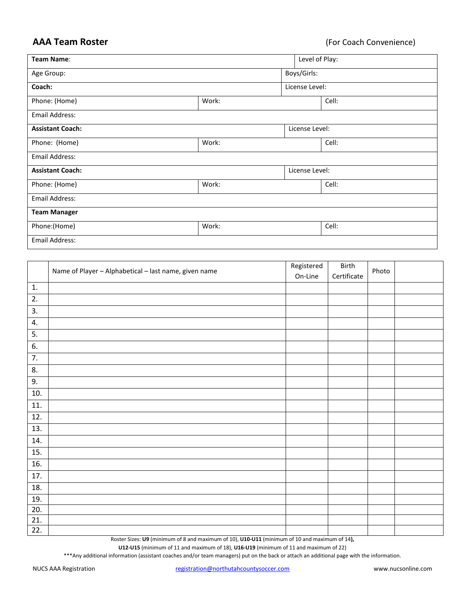| Team Name:              |       | Level of Play: |                |       |  |
|-------------------------|-------|----------------|----------------|-------|--|
| Age Group:              |       |                | Boys/Girls:    |       |  |
| Coach:                  |       | License Level: |                |       |  |
| Phone: (Home)           | Work: |                | Cell:          |       |  |
| Email Address:          |       |                |                |       |  |
| <b>Assistant Coach:</b> |       |                | License Level: |       |  |
| Phone: (Home)           | Work: |                |                | Cell: |  |
| Email Address:          |       |                |                |       |  |
| <b>Assistant Coach:</b> |       |                | License Level: |       |  |
| Phone: (Home)           | Work: |                |                | Cell: |  |
| Email Address:          |       |                |                |       |  |
| <b>Team Manager</b>     |       |                |                |       |  |
| Phone:(Home)            | Work: |                |                | Cell: |  |
| Email Address:          |       |                |                |       |  |

|     | Name of Player - Alphabetical - last name, given name | Registered<br>On-Line | Birth<br>Certificate | Photo |  |
|-----|-------------------------------------------------------|-----------------------|----------------------|-------|--|
| 1.  |                                                       |                       |                      |       |  |
| 2.  |                                                       |                       |                      |       |  |
| 3.  |                                                       |                       |                      |       |  |
| 4.  |                                                       |                       |                      |       |  |
| 5.  |                                                       |                       |                      |       |  |
| 6.  |                                                       |                       |                      |       |  |
| 7.  |                                                       |                       |                      |       |  |
| 8.  |                                                       |                       |                      |       |  |
| 9.  |                                                       |                       |                      |       |  |
| 10. |                                                       |                       |                      |       |  |
| 11. |                                                       |                       |                      |       |  |
| 12. |                                                       |                       |                      |       |  |
| 13. |                                                       |                       |                      |       |  |
| 14. |                                                       |                       |                      |       |  |
| 15. |                                                       |                       |                      |       |  |
| 16. |                                                       |                       |                      |       |  |
| 17. |                                                       |                       |                      |       |  |
| 18. |                                                       |                       |                      |       |  |
| 19. |                                                       |                       |                      |       |  |
| 20. |                                                       |                       |                      |       |  |
| 21. |                                                       |                       |                      |       |  |
| 22. |                                                       |                       |                      |       |  |

Roster Sizes: **U9** (minimum of 8 and maximum of 10), **U10-U11** (minimum of 10 and maximum of 14**),** 

**U12-U15** (minimum of 11 and maximum of 18), **U16-U19** (minimum of 11 and maximum of 22)

\*\*\*Any additional information (assistant coaches and/or team managers) put on the back or attach an additional page with the information.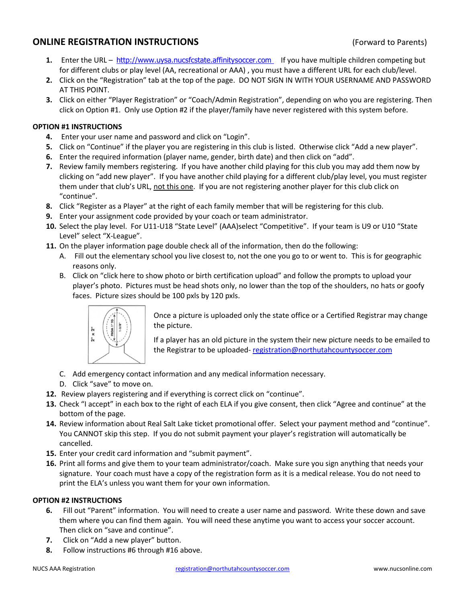# **ONLINE REGISTRATION INSTRUCTIONS** (Forward to Parents)

- **1.** Enter the URL http://www.uysa.nucsfcstate.affinitysoccer.com If you have multiple children competing but for different clubs or play level (AA, recreational or AAA) , you must have a different URL for each club/level.
- **2.** Click on the "Registration" tab at the top of the page. DO NOT SIGN IN WITH YOUR USERNAME AND PASSWORD AT THIS POINT.
- **3.** Click on either "Player Registration" or "Coach/Admin Registration", depending on who you are registering. Then click on Option #1. Only use Option #2 if the player/family have never registered with this system before.

#### **OPTION #1 INSTRUCTIONS**

- **4.** Enter your user name and password and click on "Login".
- **5.** Click on "Continue" if the player you are registering in this club is listed. Otherwise click "Add a new player".
- **6.** Enter the required information (player name, gender, birth date) and then click on "add".
- **7.** Review family members registering. If you have another child playing for this club you may add them now by clicking on "add new player". If you have another child playing for a different club/play level, you must register them under that club's URL, not this one. If you are not registering another player for this club click on "continue".
- **8.** Click "Register as a Player" at the right of each family member that will be registering for this club.
- **9.** Enter your assignment code provided by your coach or team administrator.
- **10.** Select the play level. For U11-U18 "State Level" (AAA)select "Competitive". If your team is U9 or U10 "State Level" select "X-League".
- **11.** On the player information page double check all of the information, then do the following:
	- A. Fill out the elementary school you live closest to, not the one you go to or went to. This is for geographic reasons only.
	- B. Click on "click here to show photo or birth certification upload" and follow the prompts to upload your player's photo. Pictures must be head shots only, no lower than the top of the shoulders, no hats or goofy faces. Picture sizes should be 100 pxls by 120 pxls.



Once a picture is uploaded only the state office or a Certified Registrar may change the picture.

If a player has an old picture in the system their new picture needs to be emailed to the Registrar to be uploaded-registration@northutahcountysoccer.com

- C. Add emergency contact information and any medical information necessary.
- D. Click "save" to move on.
- **12.** Review players registering and if everything is correct click on "continue".
- **13.** Check "I accept" in each box to the right of each ELA if you give consent, then click "Agree and continue" at the bottom of the page.
- **14.** Review information about Real Salt Lake ticket promotional offer. Select your payment method and "continue". You CANNOT skip this step. If you do not submit payment your player's registration will automatically be cancelled.
- **15.** Enter your credit card information and "submit payment".
- **16.** Print all forms and give them to your team administrator/coach. Make sure you sign anything that needs your signature. Your coach must have a copy of the registration form as it is a medical release. You do not need to print the ELA's unless you want them for your own information.

#### **OPTION #2 INSTRUCTIONS**

- **6.** Fill out "Parent" information. You will need to create a user name and password. Write these down and save them where you can find them again. You will need these anytime you want to access your soccer account. Then click on "save and continue".
- **7.** Click on "Add a new player" button.
- **8.** Follow instructions #6 through #16 above.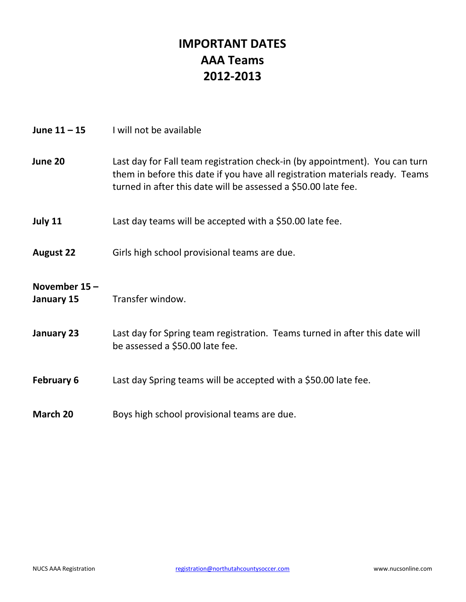# **IMPORTANT DATES AAA Teams 2012-2013**

| June $11 - 15$             | I will not be available                                                                                                                                                                                                       |
|----------------------------|-------------------------------------------------------------------------------------------------------------------------------------------------------------------------------------------------------------------------------|
| June 20                    | Last day for Fall team registration check-in (by appointment). You can turn<br>them in before this date if you have all registration materials ready. Teams<br>turned in after this date will be assessed a \$50.00 late fee. |
| July 11                    | Last day teams will be accepted with a \$50.00 late fee.                                                                                                                                                                      |
| <b>August 22</b>           | Girls high school provisional teams are due.                                                                                                                                                                                  |
| November 15-<br>January 15 | Transfer window.                                                                                                                                                                                                              |
| January 23                 | Last day for Spring team registration. Teams turned in after this date will<br>be assessed a \$50.00 late fee.                                                                                                                |
| <b>February 6</b>          | Last day Spring teams will be accepted with a \$50.00 late fee.                                                                                                                                                               |
| March 20                   | Boys high school provisional teams are due.                                                                                                                                                                                   |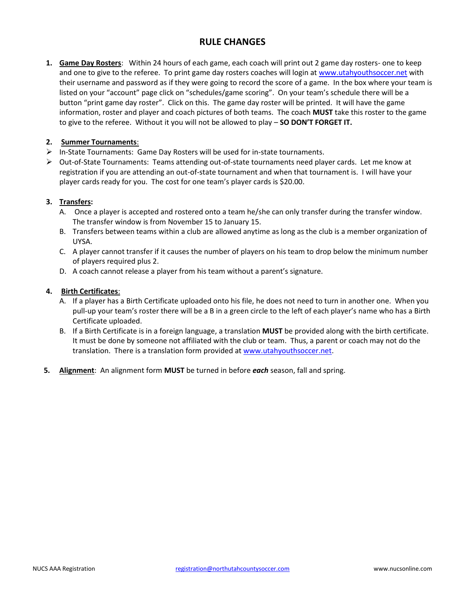# **RULE CHANGES**

**1. Game Day Rosters**: Within 24 hours of each game, each coach will print out 2 game day rosters- one to keep and one to give to the referee. To print game day rosters coaches will login at www.utahyouthsoccer.net with their username and password as if they were going to record the score of a game. In the box where your team is listed on your "account" page click on "schedules/game scoring". On your team's schedule there will be a button "print game day roster". Click on this. The game day roster will be printed. It will have the game information, roster and player and coach pictures of both teams. The coach **MUST** take this roster to the game to give to the referee. Without it you will not be allowed to play – **SO DON'T FORGET IT.** 

#### **2. Summer Tournaments**:

- $\triangleright$  In-State Tournaments: Game Day Rosters will be used for in-state tournaments.
- $\triangleright$  Out-of-State Tournaments: Teams attending out-of-state tournaments need player cards. Let me know at registration if you are attending an out-of-state tournament and when that tournament is. I will have your player cards ready for you. The cost for one team's player cards is \$20.00.

### **3. Transfers:**

- A. Once a player is accepted and rostered onto a team he/she can only transfer during the transfer window. The transfer window is from November 15 to January 15.
- B. Transfers between teams within a club are allowed anytime as long as the club is a member organization of UYSA.
- C. A player cannot transfer if it causes the number of players on his team to drop below the minimum number of players required plus 2.
- D. A coach cannot release a player from his team without a parent's signature.

#### **4. Birth Certificates**:

- A. If a player has a Birth Certificate uploaded onto his file, he does not need to turn in another one. When you pull-up your team's roster there will be a B in a green circle to the left of each player's name who has a Birth Certificate uploaded.
- B. If a Birth Certificate is in a foreign language, a translation **MUST** be provided along with the birth certificate. It must be done by someone not affiliated with the club or team. Thus, a parent or coach may not do the translation. There is a translation form provided at www.utahyouthsoccer.net.
- **5. Alignment**: An alignment form **MUST** be turned in before *each* season, fall and spring.